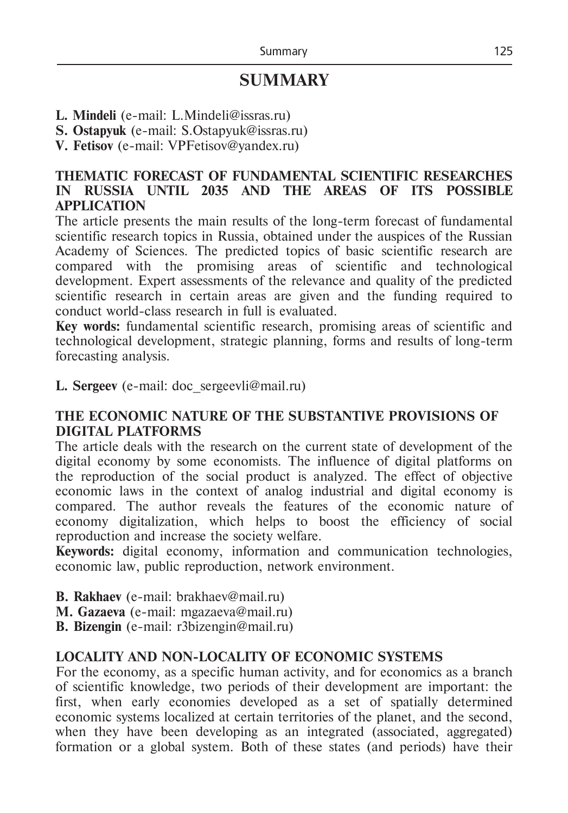# **SUMMARY**

- **L. Mindeli** (е-mail: L.Mindeli@issras.ru)
- **S. Ostapyuk** (е-mail: S.Ostapyuk@issras.ru)
- **V. Fetisov** (е-mail: VPFetisov@yandex.ru)

# **THEMATIC FORECAST OF FUNDAMENTAL SCIENTIFIC RESEARCHES IN RUSSIA UNTIL 2035 AND THE AREAS OF ITS POSSIBLE APPLICATION**

The article presents the main results of the long-term forecast of fundamental scientific research topics in Russia, obtained under the auspices of the Russian Academy of Sciences. The predicted topics of basic scientific research are compared with the promising areas of scientific and technological development. Expert assessments of the relevance and quality of the predicted scientific research in certain areas are given and the funding required to conduct world-class research in full is evaluated.

**Key words:** fundamental scientific research, promising areas of scientific and technological development, strategic planning, forms and results of long-term forecasting analysis.

**L. Sergeev** (e-mail: doc sergeevli@mail.ru)

# **THE ECONOMIC NATURE OF THE SUBSTANTIVE PROVISIONS OF DIGITAL PLATFORMS**

The article deals with the research on the current state of development of the digital economy by some economists. The influence of digital platforms on the reproduction of the social product is analyzed. The effect of objective economic laws in the context of analog industrial and digital economy is compared. The author reveals the features of the economic nature of economy digitalization, which helps to boost the efficiency of social reproduction and increase the society welfare.

**Keywords:** digital economy, information and communication technologies, economic law, public reproduction, network environment.

**B. Rakhaev** (e-mail: brakhaev@mail.ru)

**M. Gazaeva** (e-mail: mgazaeva@mail.ru)

**B. Bizengin** (e-mail: r3bizengin@mail.ru)

#### **LOCALITY AND NON-LOCALITY OF ECONOMIC SYSTEMS**

For the economy, as a specific human activity, and for economics as a branch of scientific knowledge, two periods of their development are important: the first, when early economies developed as a set of spatially determined economic systems localized at certain territories of the planet, and the second, when they have been developing as an integrated (associated, aggregated) formation or a global system. Both of these states (and periods) have their